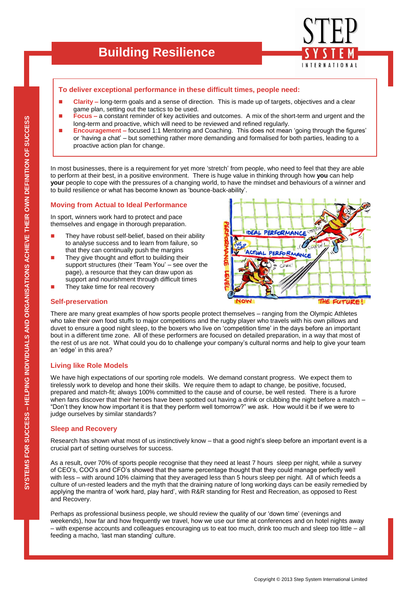

## **To deliver exceptional performance in these difficult times, people need:**

- **Clarity** long-term goals and a sense of direction. This is made up of targets, objectives and a clear game plan, setting out the tactics to be used.
- **Focus –** a constant reminder of key activities and outcomes. A mix of the short-term and urgent and the long-term and proactive, which will need to be reviewed and refined regularly.
- **Encouragement –** focused 1:1 Mentoring and Coaching. This does not mean 'going through the figures' or "having a chat" – but something rather more demanding and formalised for both parties, leading to a proactive action plan for change.

In most businesses, there is a requirement for yet more 'stretch' from people, who need to feel that they are able to perform at their best, in a positive environment. There is huge value in thinking through how **you** can help **your** people to cope with the pressures of a changing world, to have the mindset and behaviours of a winner and to build resilience or what has become known as "bounce-back-ability".

#### **Moving from Actual to Ideal Performance**

In sport, winners work hard to protect and pace themselves and engage in thorough preparation.

- They have robust self-belief, based on their ability to analyse success and to learn from failure, so that they can continually push the margins
- They give thought and effort to building their support structures (their 'Team You' – see over the page), a resource that they can draw upon as support and nourishment through difficult times
- They take time for real recovery



## **Self-preservation**

There are many great examples of how sports people protect themselves – ranging from the Olympic Athletes who take their own food stuffs to major competitions and the rugby player who travels with his own pillows and duvet to ensure a good night sleep, to the boxers who live on "competition time" in the days before an important bout in a different time zone. All of these performers are focused on detailed preparation, in a way that most of the rest of us are not. What could you do to challenge your company"s cultural norms and help to give your team an 'edge' in this area?

#### **Living like Role Models**

We have high expectations of our sporting role models. We demand constant progress. We expect them to tirelessly work to develop and hone their skills. We require them to adapt to change, be positive, focused, prepared and match-fit; always 100% committed to the cause and of course, be well rested. There is a furore when fans discover that their heroes have been spotted out having a drink or clubbing the night before a match – "Don"t they know how important it is that they perform well tomorrow?" we ask. How would it be if we were to judge ourselves by similar standards?

## **Sleep and Recovery**

Research has shown what most of us instinctively know – that a good night"s sleep before an important event is a crucial part of setting ourselves for success.

As a result, over 70% of sports people recognise that they need at least 7 hours sleep per night, while a survey of CEO"s, COO"s and CFO"s showed that the same percentage thought that they could manage perfectly well with less – with around 10% claiming that they averaged less than 5 hours sleep per night. All of which feeds a culture of un-rested leaders and the myth that the draining nature of long working days can be easily remedied by applying the mantra of "work hard, play hard", with R&R standing for Rest and Recreation, as opposed to Rest and Recovery.

Perhaps as professional business people, we should review the quality of our "down time" (evenings and weekends), how far and how frequently we travel, how we use our time at conferences and on hotel nights away – with expense accounts and colleagues encouraging us to eat too much, drink too much and sleep too little – all feeding a macho, 'last man standing' culture.